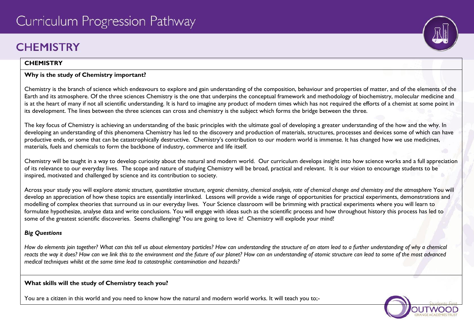# **CHFMISTRY**

### **CHEMISTRY**

## **Why is the study of Chemistry important?**

Chemistry is the branch of science which endeavours to explore and gain understanding of the composition, behaviour and properties of matter, and of the elements of the Earth and its atmosphere. Of the three sciences Chemistry is the one that underpins the conceptual framework and methodology of biochemistry, molecular medicine and is at the heart of many if not all scientific understanding. It is hard to imagine any product of modern times which has not required the efforts of a chemist at some point in its development. The lines between the three sciences can cross and chemistry is the subject which forms the bridge between the three.

The key focus of Chemistry is achieving an understanding of the basic principles with the ultimate goal of developing a greater understanding of the how and the why. In developing an understanding of this phenomena Chemistry has led to the discovery and production of materials, structures, processes and devices some of which can have productive ends, or some that can be catastrophically destructive. Chemistry's contribution to our modern world is immense. It has changed how we use medicines, materials, fuels and chemicals to form the backbone of industry, commerce and life itself.

Chemistry will be taught in a way to develop curiosity about the natural and modern world. Our curriculum develops insight into how science works and a full appreciation of its relevance to our everyday lives. The scope and nature of studying Chemistry will be broad, practical and relevant. It is our vision to encourage students to be inspired, motivated and challenged by science and its contribution to society.

Across your study you will explore *atomic structure, quantitative structure, organic chemistry, chemical analysis, rate of chemical change and chemistry and the atmosphere* You will develop an appreciation of how these topics are essentially interlinked. Lessons will provide a wide range of opportunities for practical experiments, demonstrations and modelling of complex theories that surround us in our everyday lives. Your Science classroom will be brimming with practical experiments where you will learn to formulate hypothesize, analyse data and write conclusions. You will engage with ideas such as the scientific process and how throughout history this process has led to some of the greatest scientific discoveries. Seems challenging? You are going to love it! Chemistry will explode your mind!

## *Big Questions*

*How do elements join together? What can this tell us about elementary particles? How can understanding the structure of an atom lead to a further understanding of why a chemical reacts the way it does? How can we link this to the environment and the future of our planet? How can an understanding of atomic structure can lead to some of the most advanced medical techniques whilst at the same time lead to catastrophic contamination and hazards?*

## **What skills will the study of Chemistry teach you?**

You are a citizen in this world and you need to know how the natural and modern world works. It will teach you to;-



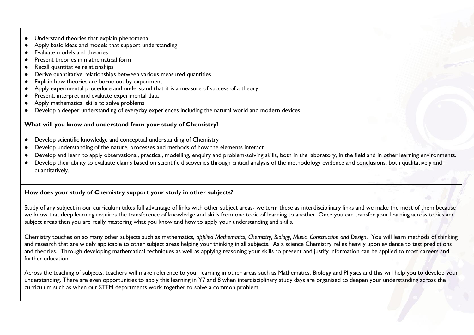- Understand theories that explain phenomena
- Apply basic ideas and models that support understanding
- Evaluate models and theories
- Present theories in mathematical form
- Recall quantitative relationships
- Derive quantitative relationships between various measured quantities
- Explain how theories are borne out by experiment.
- Apply experimental procedure and understand that it is a measure of success of a theory
- Present, interpret and evaluate experimental data
- Apply mathematical skills to solve problems
- Develop a deeper understanding of everyday experiences including the natural world and modern devices.

#### **What will you know and understand from your study of Chemistry?**

- Develop scientific knowledge and conceptual understanding of Chemistry
- Develop understanding of the nature, processes and methods of how the elements interact
- Develop and learn to apply observational, practical, modelling, enquiry and problem-solving skills, both in the laboratory, in the field and in other learning environments.
- Develop their ability to evaluate claims based on scientific discoveries through critical analysis of the methodology evidence and conclusions, both qualitatively and quantitatively.

## **How does your study of Chemistry support your study in other subjects?**

Study of any subject in our curriculum takes full advantage of links with other subject areas- we term these as interdisciplinary links and we make the most of them because we know that deep learning requires the transference of knowledge and skills from one topic of learning to another. Once you can transfer your learning across topics and subject areas then you are really mastering what you know and how to apply your understanding and skills.

Chemistry touches on so many other subjects such as mathematics, *applied Mathematics, Chemistry, Biology, Music, Construction and Design*. You will learn methods of thinking and research that are widely applicable to other subject areas helping your thinking in all subjects. As a science Chemistry relies heavily upon evidence to test predictions and theories. Through developing mathematical techniques as well as applying reasoning your skills to present and justify information can be applied to most careers and further education.

Across the teaching of subjects, teachers will make reference to your learning in other areas such as Mathematics, Biology and Physics and this will help you to develop your understanding. There are even opportunities to apply this learning in Y7 and 8 when interdisciplinary study days are organised to deepen your understanding across the curriculum such as when our STEM departments work together to solve a common problem.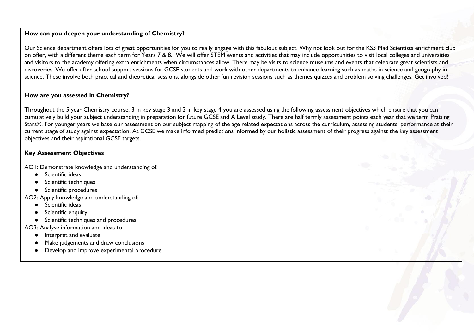#### **How can you deepen your understanding of Chemistry?**

Our Science department offers lots of great opportunities for you to really engage with this fabulous subject. Why not look out for the KS3 Mad Scientists enrichment club on offer, with a different theme each term for Years 7 & 8. We will offer STEM events and activities that may include opportunities to visit local colleges and universities and visitors to the academy offering extra enrichments when circumstances allow. There may be visits to science museums and events that celebrate great scientists and discoveries. We offer after school support sessions for GCSE students and work with other departments to enhance learning such as maths in science and geography in science. These involve both practical and theoretical sessions, alongside other fun revision sessions such as themes quizzes and problem solving challenges. Get involved!

#### **How are you assessed in Chemistry?**

Throughout the 5 year Chemistry course, 3 in key stage 3 and 2 in key stage 4 you are assessed using the following assessment objectives which ensure that you can cumulatively build your subject understanding in preparation for future GCSE and A Level study. There are half termly assessment points each year that we term Praising Stars©. For younger years we base our assessment on our subject mapping of the age related expectations across the curriculum, assessing students' performance at their current stage of study against expectation. At GCSE we make informed predictions informed by our holistic assessment of their progress against the key assessment objectives and their aspirational GCSE targets.

#### **Key Assessment Objectives**

AO1: Demonstrate knowledge and understanding of:

- Scientific ideas
- Scientific techniques
- Scientific procedures
- AO2: Apply knowledge and understanding of:
	- Scientific ideas
	- Scientific enquiry
	- Scientific techniques and procedures
- AO3: Analyse information and ideas to:
	- Interpret and evaluate
	- Make judgements and draw conclusions
	- Develop and improve experimental procedure.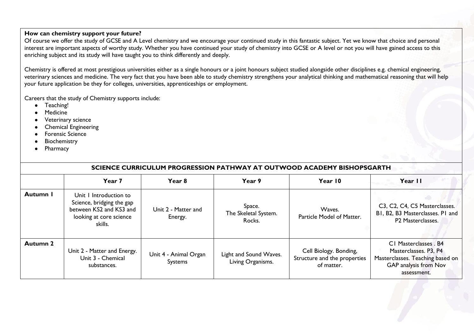#### **How can chemistry support your future?**

Of course we offer the study of GCSE and A Level chemistry and we encourage your continued study in this fantastic subject. Yet we know that choice and personal interest are important aspects of worthy study. Whether you have continued your study of chemistry into GCSE or A level or not you will have gained access to this enriching subject and its study will have taught you to think differently and deeply.

Chemistry is offered at most prestigious universities either as a single honours or a joint honours subject studied alongside other disciplines e.g. chemical engineering, veterinary sciences and medicine. The very fact that you have been able to study chemistry strengthens your analytical thinking and mathematical reasoning that will help your future application be they for colleges, universities, apprenticeships or employment.

Careers that the study of Chemistry supports include:

- Teaching!
- Medicine
- Veterinary science
- Chemical Engineering
- **Forensic Science**
- Biochemistry
- Pharmacy

| SCIENCE CURRICULUM PROGRESSION PATHWAY AT OUTWOOD ACADEMY BISHOPSGARTH |                                                                                                                      |                                  |                                             |                                                                      |                                                                                                                                   |  |  |  |
|------------------------------------------------------------------------|----------------------------------------------------------------------------------------------------------------------|----------------------------------|---------------------------------------------|----------------------------------------------------------------------|-----------------------------------------------------------------------------------------------------------------------------------|--|--|--|
|                                                                        | Year 7                                                                                                               | Year 8                           | Year 9                                      | Year 10                                                              | Year II                                                                                                                           |  |  |  |
| Autumn I                                                               | Unit I Introduction to<br>Science, bridging the gap<br>between KS2 and KS3 and<br>looking at core science<br>skills. | Unit 2 - Matter and<br>Energy.   | Space.<br>The Skeletal System.<br>Rocks.    | Waves.<br>Particle Model of Matter.                                  | C3, C2, C4, C5 Masterclasses.<br>BI, B2, B3 Masterclasses. PI and<br>P2 Masterclasses.                                            |  |  |  |
| <b>Autumn 2</b>                                                        | Unit 2 - Matter and Energy.<br>Unit 3 - Chemical<br>substances.                                                      | Unit 4 - Animal Organ<br>Systems | Light and Sound Waves.<br>Living Organisms. | Cell Biology. Bonding,<br>Structure and the properties<br>of matter. | CI Masterclasses . B4<br>Masterclasses. P3, P4<br>Masterclasses. Teaching based on<br><b>GAP</b> analysis from Nov<br>assessment. |  |  |  |